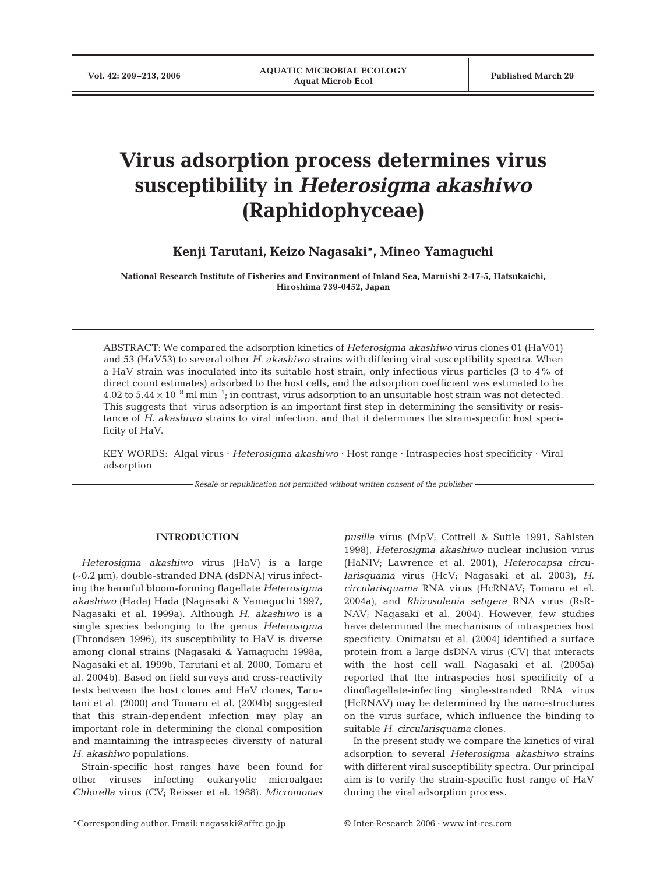# **Virus adsorption process determines virus susceptibility in** *Heterosigma akashiwo* **(Raphidophyceae)**

**Kenji Tarutani, Keizo Nagasaki\*, Mineo Yamaguchi**

**National Research Institute of Fisheries and Environment of Inland Sea, Maruishi 2-17-5, Hatsukaichi, Hiroshima 739-0452, Japan**

ABSTRACT: We compared the adsorption kinetics of *Heterosigma akashiwo* virus clones 01 (HaV01) and 53 (HaV53) to several other *H. akashiwo* strains with differing viral susceptibility spectra. When a HaV strain was inoculated into its suitable host strain, only infectious virus particles (3 to 4% of direct count estimates) adsorbed to the host cells, and the adsorption coefficient was estimated to be 4.02 to  $5.44 \times 10^{-8}$  ml min<sup>-1</sup>; in contrast, virus adsorption to an unsuitable host strain was not detected. This suggests that virus adsorption is an important first step in determining the sensitivity or resistance of *H. akashiwo* strains to viral infection, and that it determines the strain-specific host specificity of HaV.

KEY WORDS: Algal virus · *Heterosigma akashiwo* · Host range · Intraspecies host specificity · Viral adsorption

*Resale or republication not permitted without written consent of the publisher*

#### **INTRODUCTION**

*Heterosigma akashiwo* virus (HaV) is a large (~0.2 µm), double-stranded DNA (dsDNA) virus infecting the harmful bloom-forming flagellate *Heterosigma akashiwo* (Hada) Hada (Nagasaki & Yamaguchi 1997, Nagasaki et al. 1999a). Although *H. akashiwo* is a single species belonging to the genus *Heterosigma* (Throndsen 1996), its susceptibility to HaV is diverse among clonal strains (Nagasaki & Yamaguchi 1998a, Nagasaki et al. 1999b, Tarutani et al. 2000, Tomaru et al. 2004b). Based on field surveys and cross-reactivity tests between the host clones and HaV clones, Tarutani et al. (2000) and Tomaru et al. (2004b) suggested that this strain-dependent infection may play an important role in determining the clonal composition and maintaining the intraspecies diversity of natural *H. akashiwo* populations.

Strain-specific host ranges have been found for other viruses infecting eukaryotic microalgae: *Chlorella* virus (CV; Reisser et al. 1988), *Micromonas* *pusilla* virus (MpV; Cottrell & Suttle 1991, Sahlsten 1998), *Heterosigma akashiwo* nuclear inclusion virus (HaNIV; Lawrence et al. 2001), *Heterocapsa circularisquama* virus (HcV; Nagasaki et al. 2003), *H. circularisquama* RNA virus (HcRNAV; Tomaru et al. 2004a), and *Rhizosolenia setigera* RNA virus (RsR-NAV; Nagasaki et al. 2004). However, few studies have determined the mechanisms of intraspecies host specificity. Onimatsu et al. (2004) identified a surface protein from a large dsDNA virus (CV) that interacts with the host cell wall. Nagasaki et al. (2005a) reported that the intraspecies host specificity of a dinoflagellate-infecting single-stranded RNA virus (HcRNAV) may be determined by the nano-structures on the virus surface, which influence the binding to suitable *H. circularisquama* clones.

In the present study we compare the kinetics of viral adsorption to several *Heterosigma akashiwo* strains with different viral susceptibility spectra. Our principal aim is to verify the strain-specific host range of HaV during the viral adsorption process.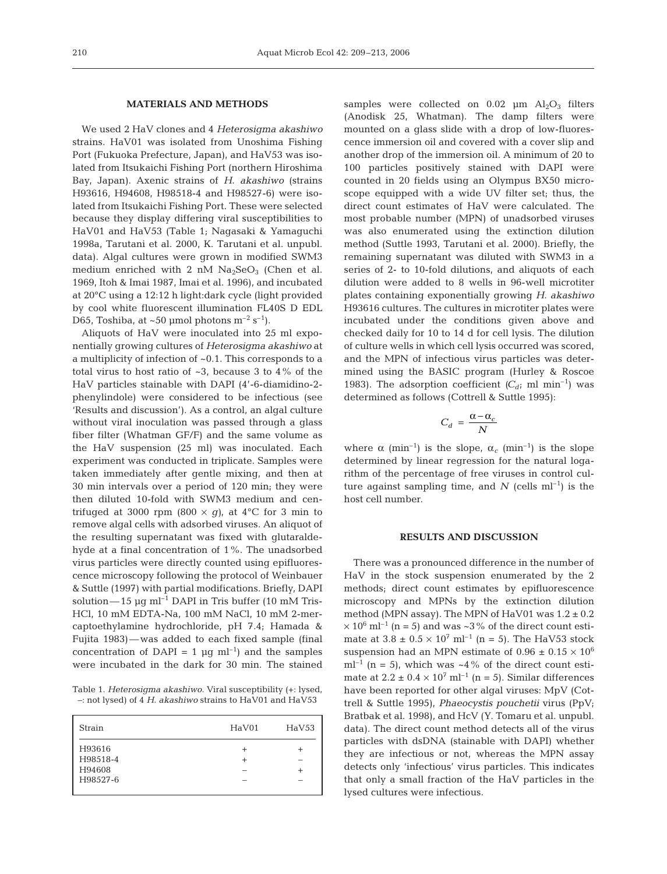#### **MATERIALS AND METHODS**

We used 2 HaV clones and 4 *Heterosigma akashiwo* strains. HaV01 was isolated from Unoshima Fishing Port (Fukuoka Prefecture, Japan), and HaV53 was isolated from Itsukaichi Fishing Port (northern Hiroshima Bay, Japan). Axenic strains of *H. akashiwo* (strains H93616, H94608, H98518-4 and H98527-6) were isolated from Itsukaichi Fishing Port. These were selected because they display differing viral susceptibilities to HaV01 and HaV53 (Table 1; Nagasaki & Yamaguchi 1998a, Tarutani et al. 2000, K. Tarutani et al. unpubl. data). Algal cultures were grown in modified SWM3 medium enriched with 2 nM  $Na<sub>2</sub>SeO<sub>3</sub>$  (Chen et al. 1969, Itoh & Imai 1987, Imai et al. 1996), and incubated at 20°C using a 12:12 h light:dark cycle (light provided by cool white fluorescent illumination FL40S D EDL D65, Toshiba, at ~50 µmol photons  $m^{-2}$  s<sup>-1</sup>).

Aliquots of HaV were inoculated into 25 ml exponentially growing cultures of *Heterosigma akashiwo* at a multiplicity of infection of ~0.1. This corresponds to a total virus to host ratio of  $\sim$ 3, because 3 to 4% of the HaV particles stainable with DAPI (4'-6-diamidino-2 phenylindole) were considered to be infectious (see 'Results and discussion'). As a control, an algal culture without viral inoculation was passed through a glass fiber filter (Whatman GF/F) and the same volume as the HaV suspension (25 ml) was inoculated. Each experiment was conducted in triplicate. Samples were taken immediately after gentle mixing, and then at 30 min intervals over a period of 120 min; they were then diluted 10-fold with SWM3 medium and centrifuged at 3000 rpm  $(800 \times g)$ , at 4<sup>o</sup>C for 3 min to remove algal cells with adsorbed viruses. An aliquot of the resulting supernatant was fixed with glutaraldehyde at a final concentration of 1%. The unadsorbed virus particles were directly counted using epifluorescence microscopy following the protocol of Weinbauer & Suttle (1997) with partial modifications. Briefly, DAPI solution—15 µg ml<sup>-1</sup> DAPI in Tris buffer (10 mM Tris-HCl, 10 mM EDTA-Na, 100 mM NaCl, 10 mM 2-mercaptoethylamine hydrochloride, pH 7.4; Hamada & Fujita 1983)—was added to each fixed sample (final concentration of DAPI = 1  $\mu$ g ml<sup>-1</sup>) and the samples were incubated in the dark for 30 min. The stained

Table 1. *Heterosigma akashiwo*. Viral susceptibility (+: lysed, –: not lysed) of 4 *H. akashiwo* strains to HaV01 and HaV53

| Strain   | HaV01 | HaV53 |
|----------|-------|-------|
| H93616   |       |       |
| H98518-4 |       |       |
| H94608   |       | +     |
| H98527-6 |       |       |
|          |       |       |

samples were collected on  $0.02 \mu m$  Al<sub>2</sub>O<sub>3</sub> filters (Anodisk 25, Whatman). The damp filters were mounted on a glass slide with a drop of low-fluorescence immersion oil and covered with a cover slip and another drop of the immersion oil. A minimum of 20 to 100 particles positively stained with DAPI were counted in 20 fields using an Olympus BX50 microscope equipped with a wide UV filter set; thus, the direct count estimates of HaV were calculated. The most probable number (MPN) of unadsorbed viruses was also enumerated using the extinction dilution method (Suttle 1993, Tarutani et al. 2000). Briefly, the remaining supernatant was diluted with SWM3 in a series of 2- to 10-fold dilutions, and aliquots of each dilution were added to 8 wells in 96-well microtiter plates containing exponentially growing *H. akashiwo* H93616 cultures. The cultures in microtiter plates were incubated under the conditions given above and checked daily for 10 to 14 d for cell lysis. The dilution of culture wells in which cell lysis occurred was scored, and the MPN of infectious virus particles was determined using the BASIC program (Hurley & Roscoe 1983). The adsorption coefficient  $(C_d; \text{ml min}^{-1})$  was determined as follows (Cottrell & Suttle 1995):

$$
C_d = \frac{\alpha - \alpha_c}{N}
$$

where  $\alpha$  (min<sup>-1</sup>) is the slope,  $\alpha_c$  (min<sup>-1</sup>) is the slope determined by linear regression for the natural logarithm of the percentage of free viruses in control culture against sampling time, and  $N$  (cells ml<sup>-1</sup>) is the host cell number.

#### **RESULTS AND DISCUSSION**

There was a pronounced difference in the number of HaV in the stock suspension enumerated by the 2 methods; direct count estimates by epifluorescence microscopy and MPNs by the extinction dilution method (MPN assay). The MPN of HaV01 was  $1.2 \pm 0.2$  $\times$  10<sup>6</sup> ml<sup>-1</sup> (n = 5) and was ~3% of the direct count estimate at  $3.8 \pm 0.5 \times 10^7$  ml<sup>-1</sup> (n = 5). The HaV53 stock suspension had an MPN estimate of  $0.96 \pm 0.15 \times 10^6$  $ml^{-1}$  (n = 5), which was  $\sim$ 4% of the direct count estimate at  $2.2 \pm 0.4 \times 10^7$  ml<sup>-1</sup> (n = 5). Similar differences have been reported for other algal viruses: MpV (Cottrell & Suttle 1995), *Phaeocystis pouchetii* virus (PpV; Bratbak et al. 1998), and HcV (Y. Tomaru et al. unpubl. data). The direct count method detects all of the virus particles with dsDNA (stainable with DAPI) whether they are infectious or not, whereas the MPN assay detects only 'infectious' virus particles. This indicates that only a small fraction of the HaV particles in the lysed cultures were infectious.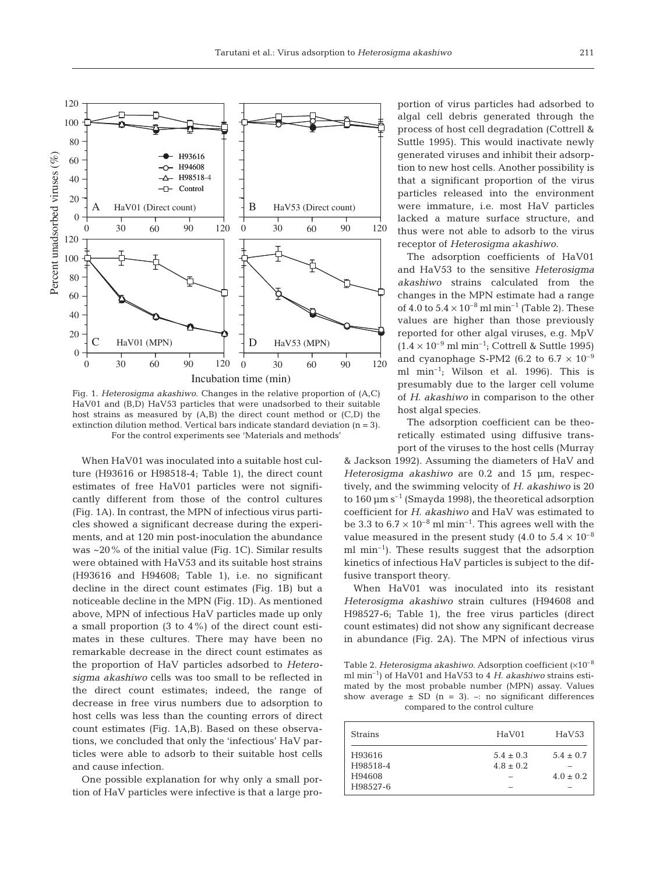

Fig. 1. *Heterosigma akashiwo*. Changes in the relative proportion of (A,C) HaV01 and (B,D) HaV53 particles that were unadsorbed to their suitable host strains as measured by (A,B) the direct count method or (C,D) the extinction dilution method. Vertical bars indicate standard deviation (n = 3). For the control experiments see 'Materials and methods'

When HaV01 was inoculated into a suitable host culture (H93616 or H98518-4; Table 1), the direct count estimates of free HaV01 particles were not significantly different from those of the control cultures (Fig. 1A). In contrast, the MPN of infectious virus particles showed a significant decrease during the experiments, and at 120 min post-inoculation the abundance was  $\sim$ 20% of the initial value (Fig. 1C). Similar results were obtained with HaV53 and its suitable host strains (H93616 and H94608; Table 1), i.e. no significant decline in the direct count estimates (Fig. 1B) but a noticeable decline in the MPN (Fig. 1D). As mentioned above, MPN of infectious HaV particles made up only a small proportion (3 to 4%) of the direct count estimates in these cultures. There may have been no remarkable decrease in the direct count estimates as the proportion of HaV particles adsorbed to *Heterosigma akashiwo* cells was too small to be reflected in the direct count estimates; indeed, the range of decrease in free virus numbers due to adsorption to host cells was less than the counting errors of direct count estimates (Fig. 1A,B). Based on these observations, we concluded that only the 'infectious' HaV particles were able to adsorb to their suitable host cells and cause infection.

One possible explanation for why only a small portion of HaV particles were infective is that a large pro-

portion of virus particles had adsorbed to algal cell debris generated through the process of host cell degradation (Cottrell & Suttle 1995). This would inactivate newly generated viruses and inhibit their adsorption to new host cells. Another possibility is that a significant proportion of the virus particles released into the environment were immature, i.e. most HaV particles lacked a mature surface structure, and thus were not able to adsorb to the virus receptor of *Heterosigma akashiwo*.

The adsorption coefficients of HaV01 and HaV53 to the sensitive *Heterosigma akashiwo* strains calculated from the changes in the MPN estimate had a range of 4.0 to  $5.4 \times 10^{-8}$  ml min<sup>-1</sup> (Table 2). These values are higher than those previously reported for other algal viruses, e.g. MpV  $(1.4 \times 10^{-9} \text{ ml min}^{-1}$ ; Cottrell & Suttle 1995) and cyanophage S-PM2 (6.2 to 6.7  $\times$  10<sup>-9</sup> ml  $min^{-1}$ ; Wilson et al. 1996). This is presumably due to the larger cell volume of *H. akashiwo* in comparison to the other host algal species.

The adsorption coefficient can be theoretically estimated using diffusive transport of the viruses to the host cells (Murray

& Jackson 1992). Assuming the diameters of HaV and *Heterosigma akashiwo* are 0.2 and 15 µm, respectively, and the swimming velocity of *H. akashiwo* is 20 to 160  $\mu$ m s<sup>-1</sup> (Smayda 1998), the theoretical adsorption coefficient for *H. akashiwo* and HaV was estimated to be 3.3 to  $6.7 \times 10^{-8}$  ml min<sup>-1</sup>. This agrees well with the value measured in the present study (4.0 to  $5.4 \times 10^{-8}$ ml min<sup>-1</sup>). These results suggest that the adsorption kinetics of infectious HaV particles is subject to the diffusive transport theory.

When HaV01 was inoculated into its resistant *Heterosigma akashiwo* strain cultures (H94608 and H98527-6; Table 1), the free virus particles (direct count estimates) did not show any significant decrease in abundance (Fig. 2A). The MPN of infectious virus

Table 2. *Heterosigma akashiwo*. Adsorption coefficient (×10–8 ml min–1) of HaV01 and HaV53 to 4 *H. akashiwo* strains estimated by the most probable number (MPN) assay. Values show average  $\pm$  SD (n = 3). –: no significant differences compared to the control culture

| <b>Strains</b>                           | HaV01                               | HaV53                          |
|------------------------------------------|-------------------------------------|--------------------------------|
| H93616<br>H98518-4<br>H94608<br>H98527-6 | $5.4 \pm 0.3$<br>$4.8 \pm 0.2$<br>- | $5.4 \pm 0.7$<br>$4.0 \pm 0.2$ |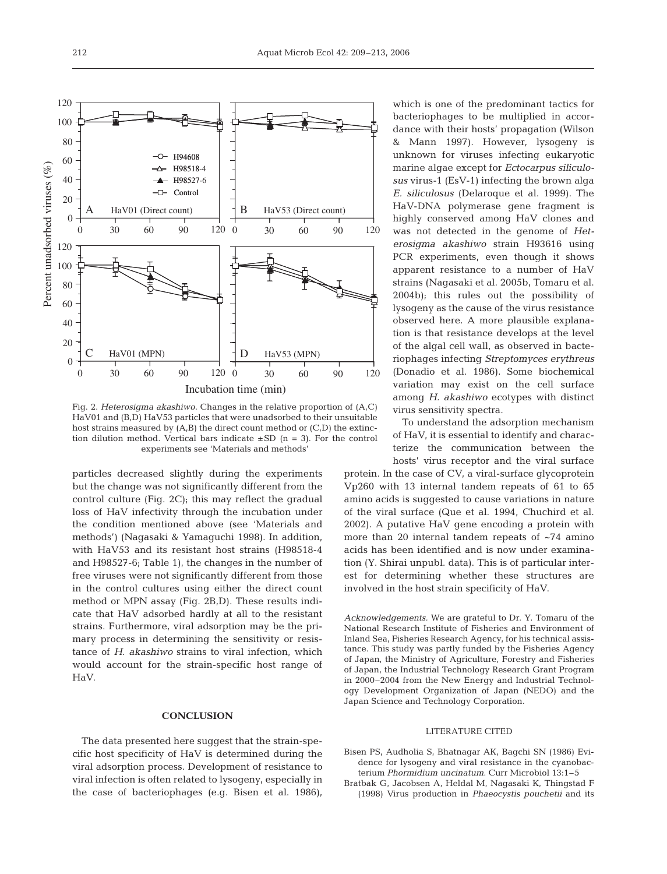

Fig. 2. *Heterosigma akashiwo.* Changes in the relative proportion of (A,C) HaV01 and (B,D) HaV53 particles that were unadsorbed to their unsuitable host strains measured by (A,B) the direct count method or (C,D) the extinction dilution method. Vertical bars indicate  $\pm$  SD (n = 3). For the control experiments see 'Materials and methods'

particles decreased slightly during the experiments but the change was not significantly different from the control culture (Fig. 2C); this may reflect the gradual loss of HaV infectivity through the incubation under the condition mentioned above (see 'Materials and methods') (Nagasaki & Yamaguchi 1998). In addition, with HaV53 and its resistant host strains (H98518-4 and H98527-6; Table 1), the changes in the number of free viruses were not significantly different from those in the control cultures using either the direct count method or MPN assay (Fig. 2B,D). These results indicate that HaV adsorbed hardly at all to the resistant strains. Furthermore, viral adsorption may be the primary process in determining the sensitivity or resistance of *H. akashiwo* strains to viral infection, which would account for the strain-specific host range of HaV.

## **CONCLUSION**

The data presented here suggest that the strain-specific host specificity of HaV is determined during the viral adsorption process. Development of resistance to viral infection is often related to lysogeny, especially in the case of bacteriophages (e.g. Bisen et al. 1986),

which is one of the predominant tactics for bacteriophages to be multiplied in accordance with their hosts' propagation (Wilson & Mann 1997). However, lysogeny is unknown for viruses infecting eukaryotic marine algae except for *Ectocarpus siliculosus* virus-1 (EsV-1) infecting the brown alga *E. siliculosus* (Delaroque et al. 1999). The HaV-DNA polymerase gene fragment is highly conserved among HaV clones and was not detected in the genome of *Heterosigma akashiwo* strain H93616 using PCR experiments, even though it shows apparent resistance to a number of HaV strains (Nagasaki et al. 2005b, Tomaru et al. 2004b); this rules out the possibility of lysogeny as the cause of the virus resistance observed here. A more plausible explanation is that resistance develops at the level of the algal cell wall, as observed in bacteriophages infecting *Streptomyces erythreus* (Donadio et al. 1986). Some biochemical variation may exist on the cell surface among *H. akashiwo* ecotypes with distinct virus sensitivity spectra.

To understand the adsorption mechanism of HaV, it is essential to identify and characterize the communication between the hosts' virus receptor and the viral surface

protein. In the case of CV, a viral-surface glycoprotein Vp260 with 13 internal tandem repeats of 61 to 65 amino acids is suggested to cause variations in nature of the viral surface (Que et al. 1994, Chuchird et al. 2002). A putative HaV gene encoding a protein with more than 20 internal tandem repeats of ~74 amino acids has been identified and is now under examination (Y. Shirai unpubl. data). This is of particular interest for determining whether these structures are involved in the host strain specificity of HaV.

*Acknowledgements.* We are grateful to Dr. Y. Tomaru of the National Research Institute of Fisheries and Environment of Inland Sea, Fisheries Research Agency, for his technical assistance. This study was partly funded by the Fisheries Agency of Japan, the Ministry of Agriculture, Forestry and Fisheries of Japan, the Industrial Technology Research Grant Program in 2000–2004 from the New Energy and Industrial Technology Development Organization of Japan (NEDO) and the Japan Science and Technology Corporation.

## LITERATURE CITED

- Bisen PS, Audholia S, Bhatnagar AK, Bagchi SN (1986) Evidence for lysogeny and viral resistance in the cyanobacterium *Phormidium uncinatum*. Curr Microbiol 13:1–5
- Bratbak G, Jacobsen A, Heldal M, Nagasaki K, Thingstad F (1998) Virus production in *Phaeocystis pouchetii* and its